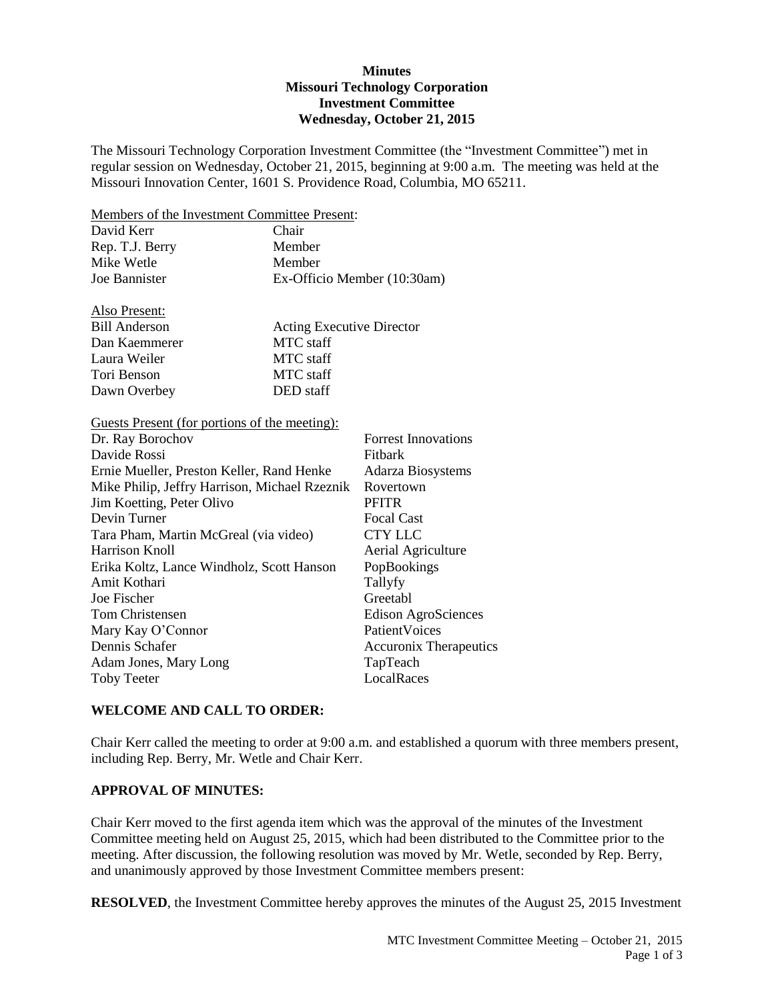## **Minutes Missouri Technology Corporation Investment Committee Wednesday, October 21, 2015**

The Missouri Technology Corporation Investment Committee (the "Investment Committee") met in regular session on Wednesday, October 21, 2015, beginning at 9:00 a.m. The meeting was held at the Missouri Innovation Center, 1601 S. Providence Road, Columbia, MO 65211.

Members of the Investment Committee Present:

| David Kerr      | Chair                       |
|-----------------|-----------------------------|
| Rep. T.J. Berry | Member                      |
| Mike Wetle      | Member                      |
| Joe Bannister   | Ex-Officio Member (10:30am) |

| Also Present:        |                                  |
|----------------------|----------------------------------|
| <b>Bill Anderson</b> | <b>Acting Executive Director</b> |
| Dan Kaemmerer        | MTC staff                        |
| Laura Weiler         | MTC staff                        |
| Tori Benson          | MTC staff                        |
| Dawn Overbey         | DED staff                        |

Guests Present (for portions of the meeting):

| Dr. Ray Borochov                              | <b>Forrest Innovations</b>    |
|-----------------------------------------------|-------------------------------|
| Davide Rossi                                  | Fitbark                       |
| Ernie Mueller, Preston Keller, Rand Henke     | <b>Adarza Biosystems</b>      |
| Mike Philip, Jeffry Harrison, Michael Rzeznik | Rovertown                     |
| Jim Koetting, Peter Olivo                     | <b>PFITR</b>                  |
| Devin Turner                                  | <b>Focal Cast</b>             |
| Tara Pham, Martin McGreal (via video)         | <b>CTY LLC</b>                |
| Harrison Knoll                                | Aerial Agriculture            |
| Erika Koltz, Lance Windholz, Scott Hanson     | PopBookings                   |
| Amit Kothari                                  | Tallyfy                       |
| Joe Fischer                                   | Greetabl                      |
| Tom Christensen                               | Edison AgroSciences           |
| Mary Kay O'Connor                             | PatientVoices                 |
| Dennis Schafer                                | <b>Accuronix Therapeutics</b> |
| Adam Jones, Mary Long                         | TapTeach                      |
| <b>Toby Teeter</b>                            | LocalRaces                    |
|                                               |                               |

## **WELCOME AND CALL TO ORDER:**

Chair Kerr called the meeting to order at 9:00 a.m. and established a quorum with three members present, including Rep. Berry, Mr. Wetle and Chair Kerr.

#### **APPROVAL OF MINUTES:**

Chair Kerr moved to the first agenda item which was the approval of the minutes of the Investment Committee meeting held on August 25, 2015, which had been distributed to the Committee prior to the meeting. After discussion, the following resolution was moved by Mr. Wetle, seconded by Rep. Berry, and unanimously approved by those Investment Committee members present:

**RESOLVED**, the Investment Committee hereby approves the minutes of the August 25, 2015 Investment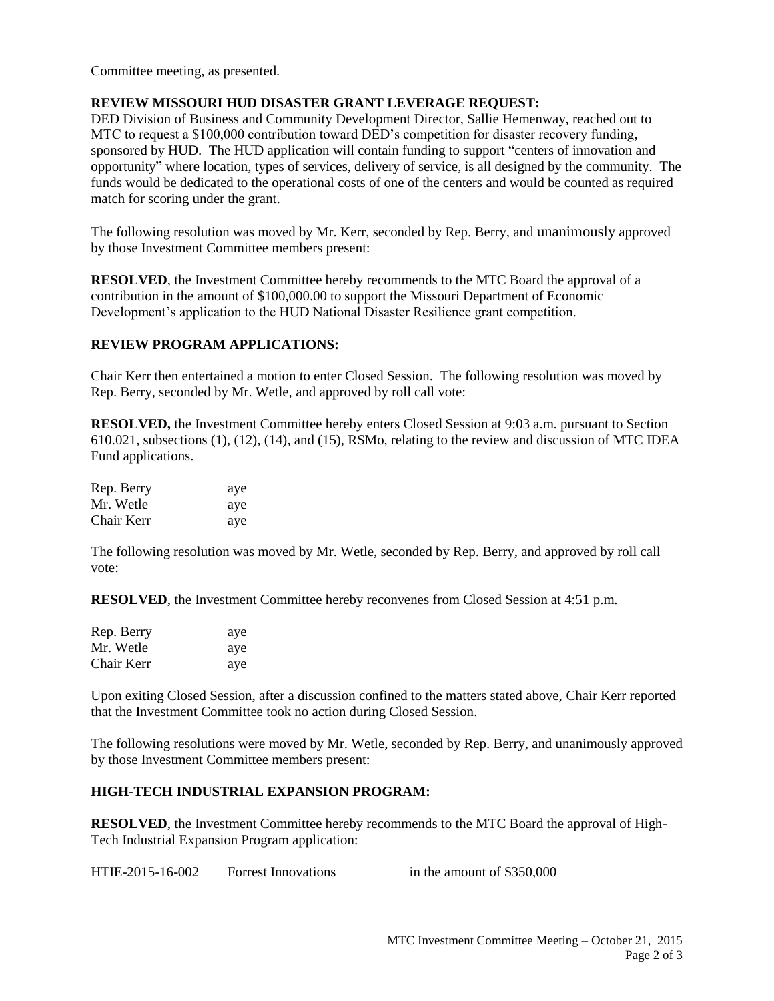Committee meeting, as presented.

## **REVIEW MISSOURI HUD DISASTER GRANT LEVERAGE REQUEST:**

DED Division of Business and Community Development Director, Sallie Hemenway, reached out to MTC to request a \$100,000 contribution toward DED's competition for disaster recovery funding, sponsored by HUD. The HUD application will contain funding to support "centers of innovation and opportunity" where location, types of services, delivery of service, is all designed by the community. The funds would be dedicated to the operational costs of one of the centers and would be counted as required match for scoring under the grant.

The following resolution was moved by Mr. Kerr, seconded by Rep. Berry, and unanimously approved by those Investment Committee members present:

**RESOLVED**, the Investment Committee hereby recommends to the MTC Board the approval of a contribution in the amount of \$100,000.00 to support the Missouri Department of Economic Development's application to the HUD National Disaster Resilience grant competition.

## **REVIEW PROGRAM APPLICATIONS:**

Chair Kerr then entertained a motion to enter Closed Session. The following resolution was moved by Rep. Berry, seconded by Mr. Wetle, and approved by roll call vote:

**RESOLVED,** the Investment Committee hereby enters Closed Session at 9:03 a.m. pursuant to Section 610.021, subsections (1), (12), (14), and (15), RSMo, relating to the review and discussion of MTC IDEA Fund applications.

| Rep. Berry | aye |
|------------|-----|
| Mr. Wetle  | aye |
| Chair Kerr | aye |

The following resolution was moved by Mr. Wetle, seconded by Rep. Berry, and approved by roll call vote:

**RESOLVED**, the Investment Committee hereby reconvenes from Closed Session at 4:51 p.m.

| Rep. Berry | aye |
|------------|-----|
| Mr. Wetle  | aye |
| Chair Kerr | aye |

Upon exiting Closed Session, after a discussion confined to the matters stated above, Chair Kerr reported that the Investment Committee took no action during Closed Session.

The following resolutions were moved by Mr. Wetle, seconded by Rep. Berry, and unanimously approved by those Investment Committee members present:

# **HIGH-TECH INDUSTRIAL EXPANSION PROGRAM:**

**RESOLVED**, the Investment Committee hereby recommends to the MTC Board the approval of High-Tech Industrial Expansion Program application:

HTIE-2015-16-002 Forrest Innovations in the amount of \$350,000